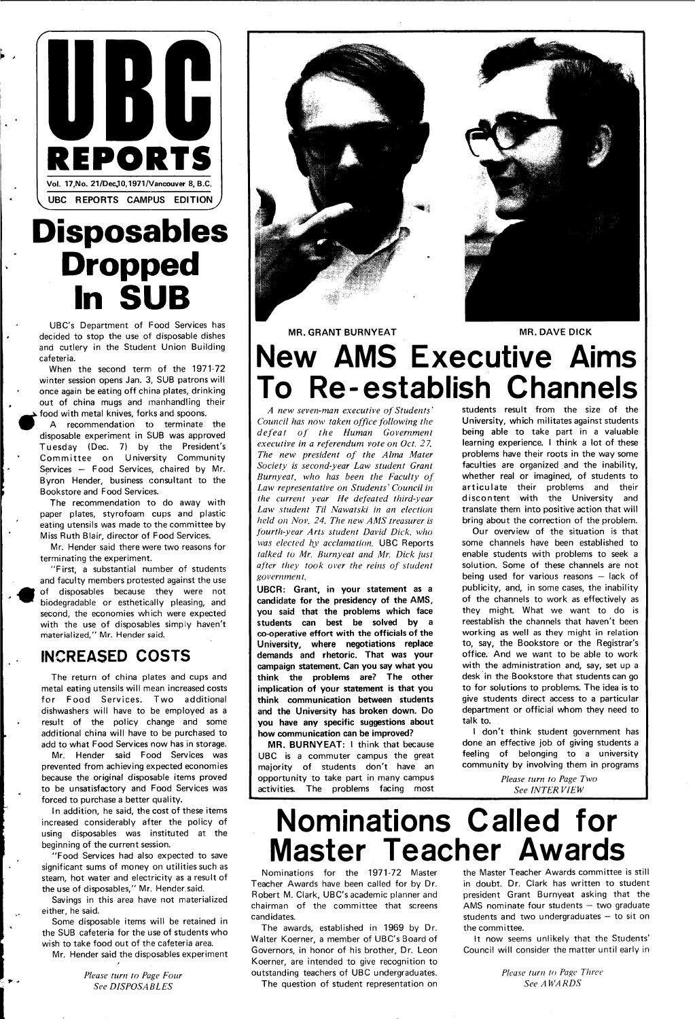**i** 

 $\mathbf{P}$ 

H



 $\blacksquare$  >

## **Disposables Dropped In SUB**

UBC's Department of Food Services has decided to stop the use of disposable dishes and cutlery in the Student Union Building cafeteria.

When the second term of the 1971-72 winter session opens Jan. 3, SUB patrons will once again be eating off china plates, drinking out of china mugs and manhandling their food with metal knives, forks and spoons.

A recommendation to terminate the disposable experiment in SUB was approved Tuesday (Dec. 7) by the President's Committee on University Community Services — Food Services, chaired by Mr. Byron Hender, business consultant to the Bookstore and Food Services.

The recommendation to do away with paper plates, styrofoam cups and plastic eating utensils was made to the committee by Miss Ruth Blair, director of Food Services.

Mr. Hender said there were two reasons for terminating the experiment.

"First, a substantial number of students and faculty members protested against the use of disposables because they were not biodegradable or esthetically pleasing, and second, the economies which were expected with the use of disposables simply haven't materialized," Mr. Hender said.

### **INCREASED COSTS**

The return of china plates and cups and metal eating utensils will mean increased costs for Food Services. Two additional dishwashers will have to be employed as a result of the policy change and some additional china will have to be purchased to add to what Food Services now has in storage.

Mr. Hender said Food Services was prevented from achieving expected economies because the original disposable items proved to be unsatisfactory and Food Services was forced to purchase a better quality.

In addition, he said, the cost of these items increased considerably after the policy of using disposables was instituted at the beginning of the current session.

"Food Services had also expected to save significant sums of money on utilities such as steam, hot water and electricity as a result of the use of disposables," Mr. Hender.said.

Savings in this area have not materialized either, he said.

Some disposable items will be retained in the SUB cafeteria for the use of students who wish to take food out of the cafeteria area. Mr. Hender said the disposables experiment

> *Please turn to Page Four See DISPOSABLES*





**MR. GRANT BURNYEAT MR. DAVE DICK** 

## **New AMS Executive Aims To Re-establish Channels**

*A new seven-man executive of Students' Council has now taken office following the defeat of the Human Government executive in a referendum vote on Oct. 2 7. The new president of the Alma Mater Society is second-year Law student Grant Burnyeat, who has been the Faculty of Law representative on Students' Council in the current year He defeated third-year Law student Til Nawatskl in an election held on Nov. 24. The new AMS treasurer is fourth-year Arts student David Dick, who was elected by acclamation.* UBC Reports *talked to Mr. Burnyeat and Mr. Dick just after they took over the reins of student government.* 

**UBCR: Grant, in your statement as a candidate for the presidency of the AMS, you said that the problems which face students can best be solved by a co-operative effort with the officials of the University, where negotiations replace demands and rhetoric. That was your campaign statement. Can you say what you think the problems are? The other implication of your statement is that you think communication between students and the University has broken down. Do you have any specific suggestions about how communication can be improved?** 

**MR. BURNYEAT:** I think that because UBC is a commuter campus the great majority of students don't have an opportunity to take part in many campus activities. The problems facing most students result from the size of the University, which militates against students being able to take part in a valuable learning experience. I think a lot of these problems have their roots in the way some faculties are organized and the inability, whether real or imagined, of students to articulate their problems and their discontent with the University and translate them into positive action that will bring about the correction of the problem.

Our overview of the situation is that some channels have been established to enable students with problems to seek a solution. Some of these channels are not being used for various reasons — lack of publicity, and, in some cases, the inability of the channels to work as effectively as they might What we want to do is reestablish the channels that haven't been working as well as they might in relation to, say, the Bookstore or the Registrar's office. And we want to be able to work with the administration and, say, set up a desk in the Bookstore that students can go to for solutions to problems. The idea is to give students direct access to a particular department or official whom they need to talk to.

I don't think student government has done an effective job of giving students a feeling of belonging to a university community by involving them in programs

> *Please turn to Page Two See INTER VIEW*

## **Nominations Called for Master Teacher Awards**

Nominations for the 1971-72 Master Teacher Awards have been called for by Dr. Robert M. Clark, UBC's academic planner and chairman of the committee that screens candidates.

The awards, established in 1969 by Dr. Walter Koerner, a member of UBC's Board of Governors, in honor of his brother, Dr. Leon Koerner, are intended to give recognition to outstanding teachers of UBC undergraduates. The question of student representation on

the Master Teacher Awards committee is still in doubt. Dr. Clark has written to student president Grant Burnyeat asking that the AMS nominate four students — two graduate students and two undergraduates — to sit on the committee.

It now seems unlikely that the Students' Council will consider the matter until early in

> *Please turn to Page Three See AWARDS*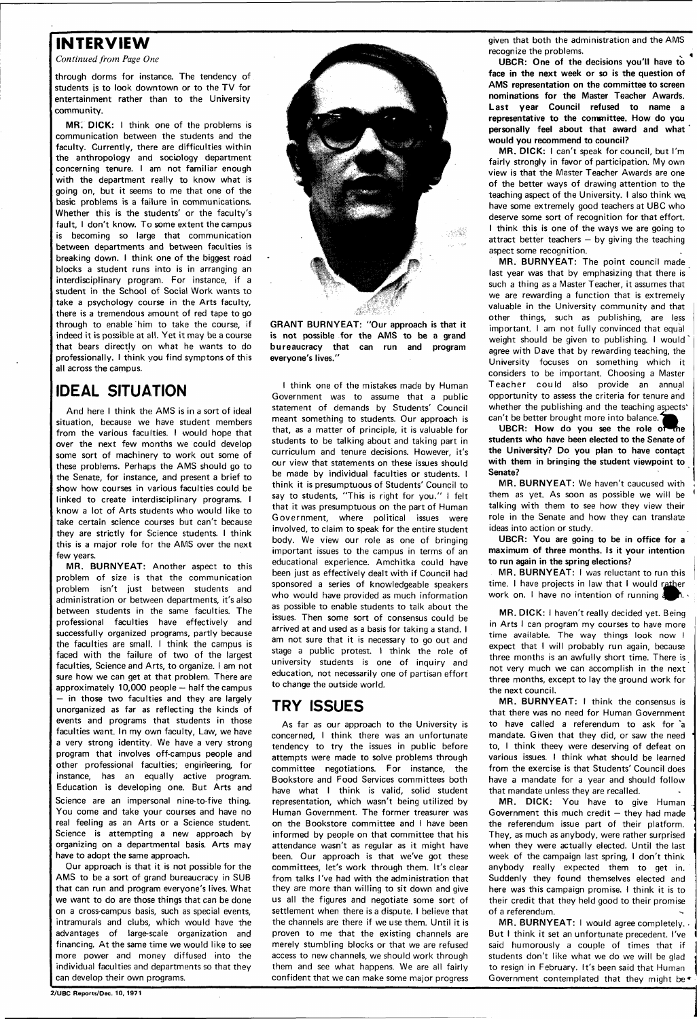#### **INTERVIEW**

*Continued from Page One* 

through dorms for instance. The tendency of students js to look downtown or to the TV for entertainment rather than to the University community.

**MR: DICK:** I think one of the problems is communication between the students and the faculty. Currently, there are difficulties within the anthropology and sociology department concerning tenure. I am not familiar enough with the department really to know what is going on, but it seems to me that one of the basic problems is a failure in communications. Whether this is the students' or the faculty's fault, I don't know. To some extent the campus is becoming so large that communication between departments and between faculties is breaking down. I think one of the biggest road blocks a student runs into is in arranging an interdisciplinary program. For instance, if a student in the School of Social Work wants to take a psychology course in the Arts faculty, there is a tremendous amount of red tape to go through to enable him to take the course, if indeed it is possible at all. Yet it may be a course that bears directly on what he wants to do professionally. I think you find symptons of this all across the campus.

#### IDEAL SITUATION

And here I think the AMS is in a sort of ideal situation, because we have student members from the various faculties. I would hope that over the next few months we could develop some sort of machinery to work out some of these problems. Perhaps the AMS should go to the Senate, for instance, and present a brief to show how courses in various faculties could be linked to create interdisciplinary programs. I know a lot of Arts students who would like to take certain science courses but can't because they are strictly for Science students. I think this is a major role for the AMS over the next few years.

**MR. BURNYEAT:** Another aspect to this problem of size is that the communication problem isn't just between students and administration or between departments, it's also between students in the same faculties. The professional faculties have effectively and successfully organized programs, partly because the faculties are small. I think the campus is faced with the failure of two of the largest faculties, Science and Arts, to organize. I am not sure how we can get at that problem. There are approximately 10,000 people — half the campus  $-$  in those two faculties and they are largely unorganized as far as reflecting the kinds of events and programs that students in those faculties want. In my own faculty, Law, we have a very strong identity. We have a very strong program that involves off-campus people and other professional faculties; engineering, for instance, has an equally active program. Education is developing one. But Arts and Science are an impersonal nine-to-five thing. You come and take your courses and have no real feeling as an Arts or a Science student. Science is attempting a new approach by organizing on a departmental basis. Arts may have to adopt the same approach. Our approach is that it is not possible for the AMS to be a sort of grand bureaucracy in SUB that can run and program everyone's lives. What we want to do are those things that can be done on a cross-campus basis, such as special events, intramurals and clubs, which would have the advantages of large-scale organization and financing. At the same time we would like to see more power and money diffused into the individual faculties and departments so that they can develop their own programs.

**MR. BURNYEAT:** The point council made last year was that by emphasizing that there is such a thing as a Master Teacher, it assumes that we are rewarding a function that is extremely valuable in the University community and that other things, such as publishing, are less important. I am not fully convinced that equal weight should be given to publishing. I would\* agree with Dave that by rewarding teaching, the University focuses on something which it considers to be important. Choosing a Master Teacher could also provide an annual opportunity to assess the criteria for tenure and whether the publishing and the teaching aspects' can't be better brought more into balance.



**GRANT BURNYEAT: "Our approach is that it is not possible for the AMS to be a grand bureaucracy that can run and program everyone's lives."** 

UBCR: How do you see the role of the **students who have been elected to the Senate of the University? Do you plan to have contact with them in bringing the student viewpoint to Senate?** 

**MR. BURNYEAT:** I was reluctant to run this time. I have projects in law that I would rather work on. I have no intention of running a

I think one of the mistakes made by Human Government was to assume that a public statement of demands by Students' Council meant something to students. Our approach is that, as a matter of principle, it is valuable for students to be talking about and taking part in curriculum and tenure decisions. However, it's our view that statements on these issues should be made by individual faculties or students. I think it is presumptuous of Students' Council to say to students, "This is right for you." I felt that it was presumptuous on the part of Human Government, where political issues were involved, to claim to speak for the entire student body. We view our role as one of bringing important issues to the campus in terms of an educational experience. Amchitka could have been just as effectively dealt with if Council had sponsored a series of knowledgeable speakers who would have provided as much information as possible to enable students to talk about the issues. Then some sort of consensus could be arrived at and used as a basis for taking a stand. I am not sure that it is necessary to go out and stage a public protest. I think the role of university students is one of inquiry and education, not necessarily one of partisan effort to change the outside world.

> **MR. BURNYEAT:** I would agree completely. . But I think it set an unfortunate precedent. I've said humorously a couple of times that if students don't like what we do we will be glad to resign in February. It's been said that Human Government contemplated that they might be.

#### TRY ISSUES

As far as our approach to the University is concerned, I think there was an unfortunate tendency to try the issues in public before attempts were made to solve problems through committee negotiations. For instance, the Bookstore and Food Services committees both have what I think is valid, solid student representation, which wasn't being utilized by Human Government. The former treasurer was on the Bookstore committee and I have been informed by people on that committee that his attendance wasn't as regular as it might have been. Our approach is that we've got these committees, let's work through them. It's clear from talks I've had with the administration that they are more than willing to sit down and give us all the figures and negotiate some sort of settlement when there is a dispute. I believe that the channels are there if we use them. Until it is proven to me that the existing channels are merely stumbling blocks or that we are refused access to new channels, we should work through them and see what happens. We are all fairly confident that we can make some major progress

given that both the administration and the AMS recognize the problems.

**UBCR: One of the decisions you'll have to face in the next week or so is the question of AMS representation on the committee to screen nominations for the Master Teacher Awards. Last year Council refused to name a representative to the committee. How do you personally feel about that award and what would you recommend to council?** 

**MR. DICK:** I can't speak for council, but I'm fairly strongly in favor of participation. My own view is that the Master Teacher Awards are one of the better ways of drawing attention to the teaching aspect of the University. I also think we. have some extremely good teachers at UBC who deserve some sort of recognition for that effort. I think this is one of the ways we are going to attract better teachers  $-$  by giving the teaching aspect some recognition.

**MR. BURNYEAT:** We haven't caucused with them as yet. As soon as possible we will be talking with them to see how they view their role in the Senate and how they can translate ideas into action or study.

**UBCR: You are going to be in office for** a **maximum of three months. Is it your intention to run again in the spring elections?** 

**MR. DICK:** I haven't really decided yet. Being in Arts I can program my courses to have more time available. The way things look now I expect that I will probably run again, because three months is an awfully short time. There is not very much we can accomplish in the next three months, except to lay the ground work for the next council.

**MR. BURNYEAT:** I think the consensus is that there was no need for Human Government to have called a referendum to ask for "a mandate. Given that they did, or saw the need to, I think theey were deserving of defeat on various issues. I think what should be learned from the exercise is that Students' Council does

have a mandate for a year and should follow that mandate unless they are recalled.

**MR. DICK:** You have to give Human Government this much credit  $-$  they had made the referendum issue part of their platform. They, as much as anybody, were rather surprised when they were actually elected. Until the last week of the campaign last spring, I don't think anybody really expected them to get in. Suddenly they found themselves elected and here was this campaign promise. I think it is to their credit that they held good to their promise of a referendum.

**2/UBC Reports/Dec. 10, 1971**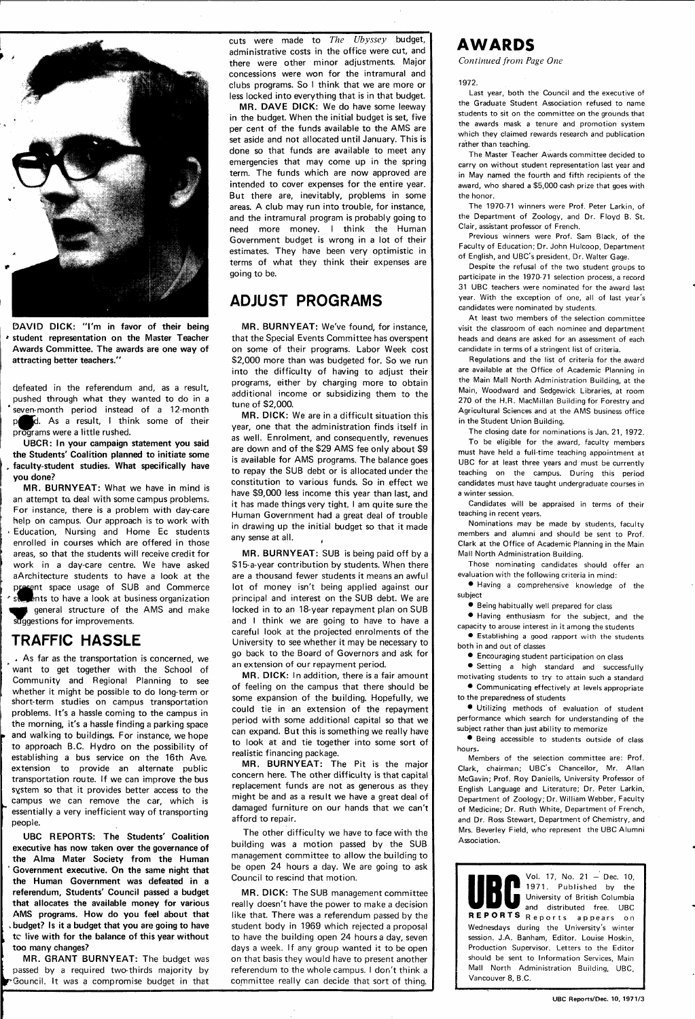

**DAVID DICK: "I'm in favor of their being \* student representation on the Master Teacher Awards Committee. The awards are one way of attracting better teachers."** 

defeated in the referendum and, as a result, pushed through what they wanted to do in a 'seven-month period instead of a 12-month **p**d. As a result, I think some of their programs were a little rushed.

**UBCR: In your campaign statement you said the Students' Coalition planned to initiate some , faculty-student studies. What specifically have you done?** 

**MR. BURNYEAT:** What we have in mind is an attempt ta deal with some campus problems. For instance, there is a problem with day-care help on campus. Our approach is to work with » Education, Nursing and Home Ec students enrolled in courses which are offered in those areas, so that the students will receive credit for work in a day-care centre. We have asked aArchitecture students to have a look at the present space usage of SUB and Commerce **Ents to have a look at business organization M** general structure of the AMS and make suggestions for improvements.

#### TRAFFIC HASSLE

cuts were made to The Ubyssey budget, administrative costs in the office were cut, and there were other minor adjustments. Major concessions were won for the intramural and clubs programs. So I think that we are more or less locked into everything that is in that budget.

.. As far as the transportation is concerned, we want to get together with the School of Community and Regional Planning to see whether it might be possible to do long-term or short-term studies on campus transportation problems. It's a hassle coming to the campus in the morning, it's a hassle finding a parking space and walking to buildings. For instance, we hope to approach B.C. Hydro on the possibility of establishing a bus service on the 16th Ave. extension to provide an alternate public transportation route. If we can improve the bus system so that it provides better access to the campus we can remove the car, which is essentially a very inefficient way of transporting people. **UBC REPORTS: The Students' Coalition executive has now taken over the governance of the Alma Mater Society from the Human ' Government executive. On the same night that the Human Government was defeated in a referendum. Students' Council passed a budget that allocates the available money for various AMS programs. How do you feel about that budget?** Is it a budget that you are going to have **<sup>t</sup> tc live with for the balance of this year without too many changes? MR. GRANT BURNYEAT:** The budget was passed by a required two-thirds majority by **•TGouncil.** It was a compromise budget in that

**MR. DICK:** We are in a difficult situation this year, one that the administration finds itself in as well. Enrolment, and consequently, revenues are down and of the \$29 AMS fee only about \$9 is available for AMS programs. The balance goes to repay the SUB debt or is allocated under the constitution to various funds. So in effect we have \$9,000 less income this year than last, and it has made things very tight. I am quite sure the Human Government had a great deal of trouble in drawing up the initial budget so that it made any sense at all.

**MR. DAVE DICK:** We do have some leeway in the budget. When the initial budget is set, five per cent of the funds available to the AMS are set aside and not allocated until January. This is done so that funds are available to meet any emergencies that may come up in the spring term. The funds which are now approved are intended to cover expenses for the entire year. But there are, inevitably, problems in some areas. A club may run into trouble, for instance, and the intramural program is probably going to need more money. I think the Human Government budget is wrong in a lot of their estimates. They have been very optimistic in terms of what they think their expenses are going to be.

#### ADJUST PROGRAMS

**MR. BURNYEAT:** We've found, for instance, that the Special Events Committee has overspent on some of their programs. Labor Week cost \$2,000 more than was budgeted for. So we run into the difficulty of having to adjust their programs, either by charging more to obtain additional income or subsidizing them to the tune of \$2,000.

**MR. BURNYEAT:** SUB is being paid off by a \$15-a-year contribution by students. When there are a thousand fewer students it means an awful lot of money isn't being applied against our principal and interest on the SUB debt. We are locked in to an 18-year repayment plan on SUB and I think we are going to have to have a careful look at the projected enrolments of the University to see whether it may be necessary to go back to the Board of Governors and ask for an extension of our repayment period.

**MR. DICK:** In addition, there is a fair amount of feeling on the campus that there should be some expansion of the building. Hopefully, we could tie in an extension of the repayment period with some additional capital so that we can expand. But this is something we really have to look at and tie together into some sort of realistic financing package.

**MR. BURNYEAT:** The Pit is the major concern here. The other difficulty is that capital replacement funds are not as generous as they might be and as a result we have a great deal of damaged furniture on our hands that we can't afford to repair.

The other difficulty we have to face with the building was a motion passed by the SUB management committee to allow the building to be open 24 hours a day. We are going to ask Council to rescind that motion.

**MR. DICK:** The SUB management committee really doesn't have the power to make a decision like that. There was a referendum passed by the student body in 1969 which rejected a proposal to have the building open 24 hours a day, seven days a week. If any group wanted it to be open on that basis they would have to present another referendum to the whole campus. I don't think a committee really can decide that sort of thing.

#### **AWARDS**

*Continued from Page One* 

1972.

Last year, both the Council and the executive of the Graduate Student Association refused to name students to sit on the committee on the grounds that the awards mask a tenure and promotion system which they claimed rewards research and publication rather than teaching.

The Master Teacher Awards committee decided to carry on without student representation last year and in May named the fourth and fifth recipients of the award, who shared a \$5,000 cash prize that goes with the honor.

The 1970-71 winners were Prof. Peter Larkin, of the Department of Zoology, and Dr. Floyd B. St. Clair, assistant professor of French.

Previous winners were Prof. Sam Black, of the Faculty of Education; Dr. John Hulcoop, Department of English, and UBC's president, Dr. Walter Gage.

Despite the refusal of the two student groups to participate in the 1970-71 selection process, a record 31 UBC teachers were nominated for the award last year. With the exception of one, all of last year's candidates were nominated by students.

At least two members of the selection committee visit the classroom of each nominee and department heads and deans are asked for an assessment of each candidate in terms of a stringent list of criteria.

Regulations and the list of criteria for the award are available at the Office of Academic Planning in the Main Mall North Administration Building, at the Main, Woodward and Sedgewick Libraries, at room 270 of the H.R. MacMillan Building for Forestry and Agricultural Sciences and at the AMS business office in the Student Union Building.

The closing date for nominations is Jan. 21 , 1972. To be eligible for the award, faculty members must have held a full-time teaching appointment at UBC for at least three years and must be currently teaching on the campus. During this period candidates must have taught undergraduate courses in a winter session.

Candidates will be appraised in terms of their teaching in recent years.

Nominations may be made by students, faculty members and alumni and should be sent to Prof. Clark at the Office of Academic Planning in the Main Mall North Administration Building.

Those nominating candidates should offer an evaluation with the following criteria in mind:

• Having a comprehensive knowledge of the subject

• Being habitually well prepared for class

• Having enthusiasm for the subject, and the capacity to arouse interest in it among the students

• Establishing a good rapport with the students both in and out of classes

• Encouraging student participation on class

• Setting a high standard and successfully motivating students to try to attain such a standard

• Communicating effectively at levels appropriate to the preparedness of students

• Utilizing methods of evaluation of student performance which search for understanding of the subject rather than just ability to memorize

• Being accessible to students outside of class hours.

Members of the selection committee are: Prof. Clark, chairman; UBC's Chancellor, Mr. Allan

McGavin; Prof. Roy Daniells, University Professor of English Language and Literature; Dr. Peter Larkin, Department of Zoology; Dr. William Webber, Faculty of Medicine; Dr. Ruth White, Department of French, and Dr. Ross Stewart, Department of Chemistry, and Mrs. Beverley Field, who represent the UBC Alumni Association.

**• ••14 %**  $\blacksquare$  Vol. 17, No. 21 - Dec. 10, 1971. Published by the **fll||l|** University of British Columbia **<sup>m</sup>maaw<sup>m</sup>** and distributed free. UBC **REPORIS** Reports appears on Wednesdays during the University's winter session. J.A. Banham, Editor. Louise Hoskin, Production Supervisor. Letters to the Editor should be sent to Information Services, Main Mall North Administration Building, UBC, Vancouver 8, B.C.

UBC Reports/Dec. 10, 1971/3